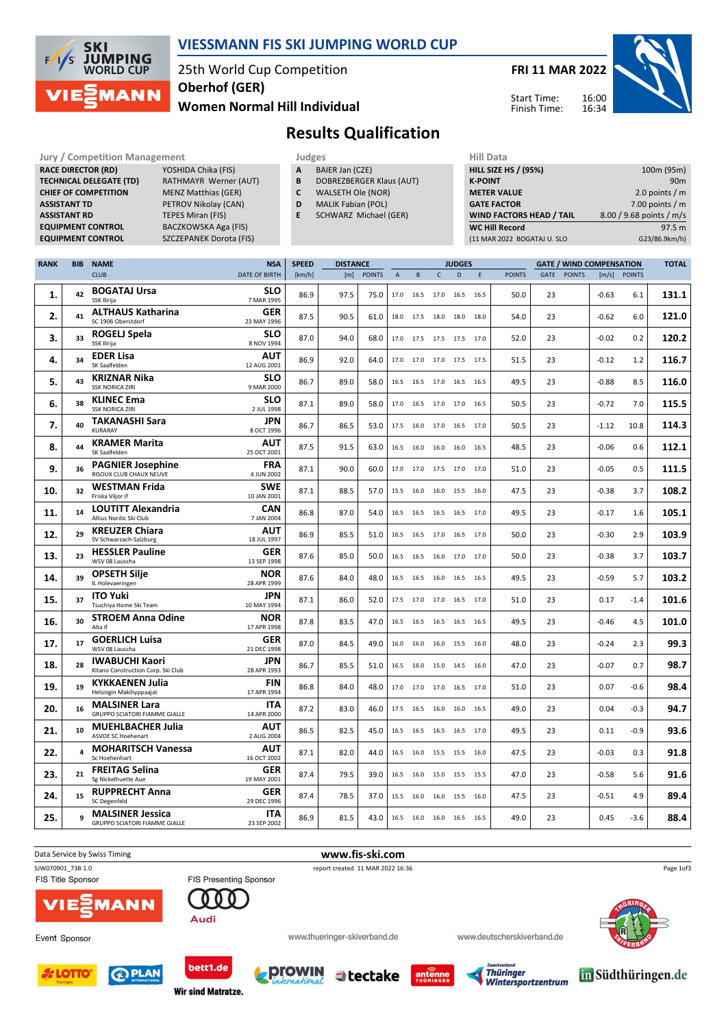

### VIESSMANN FIS SKI JUMPING WORLD CUP

25th World Cup Competition Women Normal Hill Individual Oberhof (GER)

FRI 11 MAR 2022

Start Time: Finish Time:



### Results Qualification

| <b>Jury / Competition Management</b> |                                |   | Judges                    |  |                    |  |  |  |
|--------------------------------------|--------------------------------|---|---------------------------|--|--------------------|--|--|--|
| <b>RACE DIRECTOR (RD)</b>            | YOSHIDA Chika (FIS)            | A | BAIER Jan (CZE)           |  | <b>HILL SIZE H</b> |  |  |  |
| <b>TECHNICAL DELEGATE (TD)</b>       | RATHMAYR Werner (AUT)          | B | DOBREZBERGER Klaus (AUT)  |  | <b>K-POINT</b>     |  |  |  |
| <b>CHIEF OF COMPETITION</b>          | <b>MENZ Matthias (GER)</b>     | C | WALSETH Ole (NOR)         |  | <b>METER VA</b>    |  |  |  |
| <b>ASSISTANT TD</b>                  | PETROV Nikolay (CAN)           | D | <b>MALIK Fabian (POL)</b> |  | <b>GATE FACT</b>   |  |  |  |
| <b>ASSISTANT RD</b>                  | TEPES Miran (FIS)              | Ε | SCHWARZ Michael (GER)     |  | <b>WIND FAC</b>    |  |  |  |
| <b>EQUIPMENT CONTROL</b>             | BACZKOWSKA Aga (FIS)           |   |                           |  | <b>WC Hill Re</b>  |  |  |  |
| <b>EQUIPMENT CONTROL</b>             | <b>SZCZEPANEK Dorota (FIS)</b> |   |                           |  | (11 MAR 202        |  |  |  |

| Judges |                 |  |
|--------|-----------------|--|
| А      | BAIER Jan (CZE) |  |

- **B** DOBREZBERGER Klaus (AUT)<br>**C** WALSETH Ole (NOR)
- WALSETH Ole (NOR) D MALIK Fabian (POL)
	- E SCHWARZ Michael (GER)
	-

| .                           |                          |
|-----------------------------|--------------------------|
| <b>HILL SIZE HS / (95%)</b> | 100m (95m)               |
| <b>K-POINT</b>              | 90 <sub>m</sub>          |
| <b>METER VALUE</b>          | 2.0 points $/m$          |
| <b>GATE FACTOR</b>          | 7.00 points $/m$         |
| WIND FACTORS HEAD / TAIL    | 8.00 / 9.68 points / m/s |
| <b>WC Hill Record</b>       | 97.5 m                   |
| (11 MAR 2022 BOGATAJ U. SLO | G23/86.9km/h)            |

| <b>RANK</b> | <b>BIB</b>   | <b>NAME</b>                                                     | <b>NSA</b>                | <b>SPEED</b> | <b>DISTANCE</b> |               |              |           | <b>JUDGES</b> |                |      |               | <b>GATE / WIND COMPENSATION</b> |             |         |               | <b>TOTAL</b> |
|-------------|--------------|-----------------------------------------------------------------|---------------------------|--------------|-----------------|---------------|--------------|-----------|---------------|----------------|------|---------------|---------------------------------|-------------|---------|---------------|--------------|
|             |              | <b>CLUB</b>                                                     | <b>DATE OF BIRTH</b>      | [km/h]       | [m]             | <b>POINTS</b> | $\mathsf{A}$ | B         | $\mathsf{C}$  | D              | E    | <b>POINTS</b> |                                 | GATE POINTS | [m/s]   | <b>POINTS</b> |              |
| 1.          | 42           | <b>BOGATAJ Ursa</b><br><b>SSK Ilirija</b>                       | SLO<br>7 MAR 1995         | 86.9         | 97.5            | 75.0          |              | 17.0 16.5 | 17.0          | 16.5 16.5      |      | 50.0          | 23                              |             | $-0.63$ | 6.1           | 131.1        |
| 2.          | 41           | <b>ALTHAUS Katharina</b><br>SC 1906 Oberstdorf                  | GER<br>23 MAY 1996        | 87.5         | 90.5            | 61.0          |              | 18.0 17.5 |               | 18.0 18.0 18.0 |      | 54.0          | 23                              |             | $-0.62$ | 6.0           | 121.0        |
| 3.          | 33           | <b>ROGELJ Spela</b><br>SSK Ilirija                              | <b>SLO</b><br>8 NOV 1994  | 87.0         | 94.0            | 68.0          | 17.0         | 17.5      |               | 17.5 17.5 17.0 |      | 52.0          | 23                              |             | $-0.02$ | 0.2           | 120.2        |
| 4.          | 34           | <b>EDER Lisa</b><br>SK Saalfelden                               | <b>AUT</b><br>12 AUG 2001 | 86.9         | 92.0            | 64.0          |              | 17.0 17.0 |               | 17.0 17.5 17.5 |      | 51.5          | 23                              |             | $-0.12$ | 1.2           | 116.7        |
| 5.          | 43           | <b>KRIZNAR Nika</b><br><b>SSK NORICA ZIRI</b>                   | SLO<br>9 MAR 2000         | 86.7         | 89.0            | 58.0          | 16.5         | 16.5      | 17.0          | 16.5 16.5      |      | 49.5          | 23                              |             | $-0.88$ | 8.5           | 116.0        |
| 6.          | 38           | <b>KLINEC Ema</b><br><b>SSK NORICA ZIRI</b>                     | SLO<br>2 JUL 1998         | 87.1         | 89.0            | 58.0          | 17.0         | 16.5      |               | 17.0 17.0 16.5 |      | 50.5          | 23                              |             | $-0.72$ | 7.0           | 115.5        |
| 7.          | 40           | <b>TAKANASHI Sara</b><br><b>KURARAY</b>                         | <b>JPN</b><br>8 OCT 1996  | 86.7         | 86.5            | 53.0          | 17.5         | 16.0      | 17.0          | 16.5           | 17.0 | 50.5          | 23                              |             | $-1.12$ | 10.8          | 114.3        |
| 8.          | 44           | <b>KRAMER Marita</b><br>SK Saalfelden                           | <b>AUT</b><br>25 OCT 2001 | 87.5         | 91.5            | 63.0          |              | 16.5 16.0 |               | 16.0 16.0 16.5 |      | 48.5          | 23                              |             | $-0.06$ | 0.6           | 112.1        |
| 9.          | 36           | <b>PAGNIER Josephine</b><br>RISOUX CLUB CHAUX NEUVE             | <b>FRA</b><br>4 JUN 2002  | 87.1         | 90.0            | 60.0          | 17.0 17.0    |           |               | 17.5 17.0 17.0 |      | 51.0          | 23                              |             | $-0.05$ | 0.5           | 111.5        |
| 10.         | 32           | <b>WESTMAN Frida</b><br>Friska Viljor if                        | <b>SWE</b><br>10 JAN 2001 | 87.1         | 88.5            | 57.0          | 15.5         | 16.0      | 16.0          | 15.5 16.0      |      | 47.5          | 23                              |             | $-0.38$ | 3.7           | 108.2        |
| 11.         | 14           | <b>LOUTITT Alexandria</b><br>Altius Nordic Ski Club             | CAN<br>7 JAN 2004         | 86.8         | 87.0            | 54.0          |              | 16.5 16.5 |               | 16.5 16.5 17.0 |      | 49.5          | 23                              |             | $-0.17$ | 1.6           | 105.1        |
| 12.         | 29           | <b>KREUZER Chiara</b><br>SV Schwarzach-Salzburg                 | AUT<br>18 JUL 1997        | 86.9         | 85.5            | 51.0          | 16.5         | 16.5      | 17.0          | 16.5 17.0      |      | 50.0          | 23                              |             | $-0.30$ | 2.9           | 103.9        |
| 13.         | 23           | <b>HESSLER Pauline</b><br>WSV 08 Lauscha                        | GER<br>13 SEP 1998        | 87.6         | 85.0            | 50.0          | 16.5         | 16.5      |               | 16.0 17.0 17.0 |      | 50.0          | 23                              |             | $-0.38$ | 3.7           | 103.7        |
| 14.         | 39           | <b>OPSETH Silje</b><br>IL Holevaeringen                         | <b>NOR</b><br>28 APR 1999 | 87.6         | 84.0            | 48.0          | 16.5         | 16.5      |               | 16.0 16.5 16.5 |      | 49.5          | 23                              |             | $-0.59$ | 5.7           | 103.2        |
| 15.         | 37           | <b>ITO Yuki</b><br>Tsuchiya Home Ski Team                       | <b>JPN</b><br>10 MAY 1994 | 87.1         | 86.0            | 52.0          |              | 17.5 17.0 |               | 17.0 16.5 17.0 |      | 51.0          | 23                              |             | 0.17    | $-1.4$        | 101.6        |
| 16.         | 30           | <b>STROEM Anna Odine</b><br>Alta If                             | NOR<br>17 APR 1998        | 87.8         | 83.5            | 47.0          |              | 16.5 16.5 |               | 16.5 16.5 16.5 |      | 49.5          | 23                              |             | $-0.46$ | 4.5           | 101.0        |
| 17.         | 17           | <b>GOERLICH Luisa</b><br>WSV 08 Lauscha                         | GER<br>21 DEC 1998        | 87.0         | 84.5            | 49.0          | 16.0         | 16.0      | 16.0          | 15.5           | 16.0 | 48.0          | 23                              |             | $-0.24$ | 2.3           | 99.3         |
| 18.         | 28           | <b>IWABUCHI Kaori</b><br>Kitano Construction Corp. Ski Club     | JPN<br>28 APR 1993        | 86.7         | 85.5            | 51.0          | 16.5         | 16.0      |               | 15.0 14.5 16.0 |      | 47.0          | 23                              |             | $-0.07$ | 0.7           | 98.7         |
| 19.         | 19           | <b>KYKKAENEN Julia</b><br>Helsingin Makihyppaajat               | FIN<br>17 APR 1994        | 86.8         | 84.0            | 48.0          | 17.0         | 17.0      | 17.0          | 16.5 17.0      |      | 51.0          | 23                              |             | 0.07    | $-0.6$        | 98.4         |
| 20.         | 16           | <b>MALSINER Lara</b><br><b>GRUPPO SCIATORI FIAMME GIALLE</b>    | <b>ITA</b><br>14 APR 2000 | 87.2         | 83.0            | 46.0          | 17.5         | 16.5      | 16.0          | 16.0           | 16.5 | 49.0          | 23                              |             | 0.04    | $-0.3$        | 94.7         |
| 21.         | 10           | <b>MUEHLBACHER Julia</b><br><b>ASVOE SC Hoehenart</b>           | AUT<br>2 AUG 2004         | 86.5         | 82.5            | 45.0          |              | 16.5 16.5 |               | 16.5 16.5 17.0 |      | 49.5          | 23                              |             | 0.11    | $-0.9$        | 93.6         |
| 22.         | $\mathbf{A}$ | <b>MOHARITSCH Vanessa</b><br>Sc Hoehenhart                      | <b>AUT</b><br>16 OCT 2002 | 87.1         | 82.0            | 44.0          |              | 16.5 16.0 |               | 15.5 15.5 16.0 |      | 47.5          | 23                              |             | $-0.03$ | 0.3           | 91.8         |
| 23.         | 21           | <b>FREITAG Selina</b><br>Sg Nickelhuette Aue                    | GER<br>19 MAY 2001        | 87.4         | 79.5            | 39.0          |              | 16.5 16.0 |               | 15.0 15.5 15.5 |      | 47.0          | 23                              |             | $-0.58$ | 5.6           | 91.6         |
| 24.         | 15           | <b>RUPPRECHT Anna</b><br><b>SC Degenfeld</b>                    | <b>GER</b><br>29 DEC 1996 | 87.4         | 78.5            | 37.0          | 15.5         | 16.0      | 16.0          | 15.5 16.0      |      | 47.5          | 23                              |             | $-0.51$ | 4.9           | 89.4         |
| 25.         | q            | <b>MALSINER Jessica</b><br><b>GRUPPO SCIATORI FIAMME GIALLE</b> | <b>ITA</b><br>23 SEP 2002 | 86.9         | 81.5            | 43.0          |              | 16.5 16.0 |               | 16.0 16.5 16.5 |      | 49.0          | 23                              |             | 0.45    | $-3.6$        | 88.4         |





LOTT













bett1.de **Wir sind Matratze.** 

**CD PLAN** 

**prowin**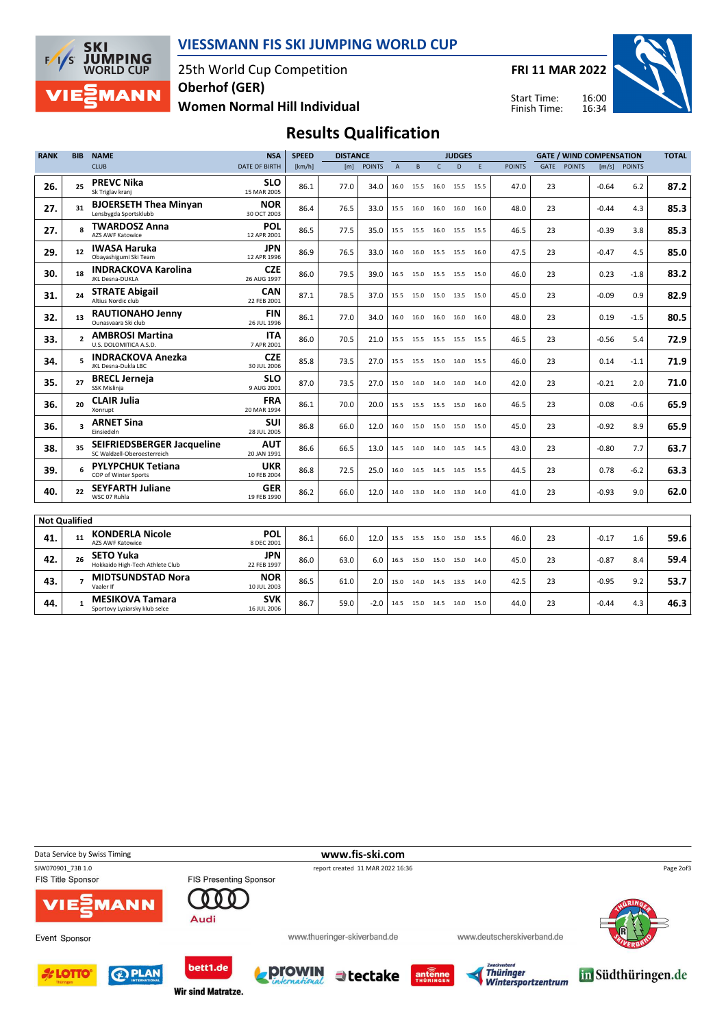

### VIESSMANN FIS SKI JUMPING WORLD CUP

25th World Cup Competition Women Normal Hill Individual Oberhof (GER)

FRI 11 MAR 2022

Start Time: Finish Time:



# Results Qualification

| <b>RANK</b>          | <b>BIB</b>               | <b>NAME</b>                                               | <b>NSA</b>                | <b>SPEED</b> | <b>DISTANCE</b> |               |                | <b>JUDGES</b> |              |                          |   | <b>GATE / WIND COMPENSATION</b> |      |               |         |               | <b>TOTAL</b> |
|----------------------|--------------------------|-----------------------------------------------------------|---------------------------|--------------|-----------------|---------------|----------------|---------------|--------------|--------------------------|---|---------------------------------|------|---------------|---------|---------------|--------------|
|                      |                          | <b>CLUB</b>                                               | <b>DATE OF BIRTH</b>      | [km/h]       | [m]             | <b>POINTS</b> | $\overline{A}$ | B             | $\mathsf{C}$ | D                        | E | <b>POINTS</b>                   | GATE | <b>POINTS</b> | [m/s]   | <b>POINTS</b> |              |
| 26.                  | 25                       | <b>PREVC Nika</b><br>Sk Triglav kranj                     | <b>SLO</b><br>15 MAR 2005 | 86.1         | 77.0            | 34.0          | 16.0           | 15.5          | 16.0         | 15.5 15.5                |   | 47.0                            | 23   |               | $-0.64$ | 6.2           | 87.2         |
| 27.                  | 31                       | <b>BJOERSETH Thea Minyan</b><br>Lensbygda Sportsklubb     | <b>NOR</b><br>30 OCT 2003 | 86.4         | 76.5            | 33.0          | 15.5           | 16.0          | 16.0         | 16.0 16.0                |   | 48.0                            | 23   |               | $-0.44$ | 4.3           | 85.3         |
| 27.                  | $\mathbf{z}$             | <b>TWARDOSZ Anna</b><br><b>AZS AWF Katowice</b>           | POL<br>12 APR 2001        | 86.5         | 77.5            | 35.0          |                | 15.5 15.5     |              | 16.0 15.5 15.5           |   | 46.5                            | 23   |               | $-0.39$ | 3.8           | 85.3         |
| 29.                  | 12                       | <b>IWASA Haruka</b><br>Obayashigumi Ski Team              | <b>JPN</b><br>12 APR 1996 | 86.9         | 76.5            | 33.0          |                |               |              | 16.0 16.0 15.5 15.5 16.0 |   | 47.5                            | 23   |               | $-0.47$ | 4.5           | 85.0         |
| 30.                  | 18                       | <b>INDRACKOVA Karolina</b><br>JKL Desna-DUKLA             | <b>CZE</b><br>26 AUG 1997 | 86.0         | 79.5            | 39.0          | 16.5           | 15.0          |              | 15.5 15.5 15.0           |   | 46.0                            | 23   |               | 0.23    | $-1.8$        | 83.2         |
| 31.                  | 24                       | <b>STRATE Abigail</b><br>Altius Nordic club               | <b>CAN</b><br>22 FEB 2001 | 87.1         | 78.5            | 37.0          |                | 15.5 15.0     |              | 15.0 13.5 15.0           |   | 45.0                            | 23   |               | $-0.09$ | 0.9           | 82.9         |
| 32.                  | 13                       | <b>RAUTIONAHO Jenny</b><br>Ounasvaara Ski club            | <b>FIN</b><br>26 JUL 1996 | 86.1         | 77.0            | 34.0          |                | 16.0 16.0     |              | 16.0 16.0 16.0           |   | 48.0                            | 23   |               | 0.19    | $-1.5$        | 80.5         |
| 33.                  | $\overline{\phantom{a}}$ | <b>AMBROSI Martina</b><br>U.S. DOLOMITICA A.S.D.          | <b>ITA</b><br>7 APR 2001  | 86.0         | 70.5            | 21.0          |                |               |              | 15.5 15.5 15.5 15.5 15.5 |   | 46.5                            | 23   |               | $-0.56$ | 5.4           | 72.9         |
| 34.                  | 5                        | <b>INDRACKOVA Anezka</b><br>JKL Desna-Dukla LBC           | <b>CZE</b><br>30 JUL 2006 | 85.8         | 73.5            | 27.0          |                | 15.5 15.5     |              | 15.0 14.0 15.5           |   | 46.0                            | 23   |               | 0.14    | $-1.1$        | 71.9         |
| 35.                  | 27                       | <b>BRECL Jerneja</b><br>SSK Mislinia                      | <b>SLO</b><br>9 AUG 2001  | 87.0         | 73.5            | 27.0          |                | 15.0 14.0     |              | 14.0 14.0 14.0           |   | 42.0                            | 23   |               | $-0.21$ | 2.0           | 71.0         |
| 36.                  | 20                       | <b>CLAIR Julia</b><br>Xonrupt                             | <b>FRA</b><br>20 MAR 1994 | 86.1         | 70.0            | 20.0          |                | 15.5 15.5     |              | 15.5 15.0 16.0           |   | 46.5                            | 23   |               | 0.08    | $-0.6$        | 65.9         |
| 36.                  | $\overline{\mathbf{3}}$  | <b>ARNET Sina</b><br>Einsiedeln                           | <b>SUI</b><br>28 JUL 2005 | 86.8         | 66.0            | 12.0          |                |               |              | 16.0 15.0 15.0 15.0 15.0 |   | 45.0                            | 23   |               | $-0.92$ | 8.9           | 65.9         |
| 38.                  | 35                       | SEIFRIEDSBERGER Jacqueline<br>SC Waldzell-Oberoesterreich | <b>AUT</b><br>20 JAN 1991 | 86.6         | 66.5            | 13.0          |                | 14.5 14.0     |              | 14.0 14.5 14.5           |   | 43.0                            | 23   |               | $-0.80$ | 7.7           | 63.7         |
| 39.                  | 6                        | <b>PYLYPCHUK Tetiana</b><br>COP of Winter Sports          | <b>UKR</b><br>10 FEB 2004 | 86.8         | 72.5            | 25.0          |                | 16.0 14.5     |              | 14.5 14.5 15.5           |   | 44.5                            | 23   |               | 0.78    | $-6.2$        | 63.3         |
| 40.                  | 22                       | <b>SEYFARTH Juliane</b><br>WSC 07 Ruhla                   | <b>GER</b><br>19 FEB 1990 | 86.2         | 66.0            | 12.0          |                |               |              | 14.0 13.0 14.0 13.0 14.0 |   | 41.0                            | 23   |               | $-0.93$ | 9.0           | 62.0         |
|                      |                          |                                                           |                           |              |                 |               |                |               |              |                          |   |                                 |      |               |         |               |              |
| <b>Not Qualified</b> |                          |                                                           |                           |              |                 |               |                |               |              |                          |   |                                 |      |               |         |               |              |
| 41.                  | 11                       | <b>KONDERLA Nicole</b><br><b>AZS AWF Katowice</b>         | POL<br>8 DEC 2001         | 86.1         | 66.0            | 12.0          |                | 15.5 15.5     |              | 15.0 15.0 15.5           |   | 46.0                            | 23   |               | $-0.17$ | 1.6           | 59.6         |
| 42.                  | 26                       | <b>SETO Yuka</b><br>Hokkaido High-Tech Athlete Club       | <b>JPN</b><br>22 FEB 1997 | 86.0         | 63.0            | 6.0           |                | 16.5 15.0     | 15.0         | 15.0 14.0                |   | 45.0                            | 23   |               | $-0.87$ | 8.4           | 59.4         |
| 43.                  | $\overline{7}$           | <b>MIDTSUNDSTAD Nora</b><br>Vaaler If                     | <b>NOR</b><br>10 JUL 2003 | 86.5         | 61.0            | 2.0           | 15.0           | 14.0          | 14.5         | 13.5 14.0                |   | 42.5                            | 23   |               | $-0.95$ | 9.2           | 53.7         |
| 44.                  | 1                        | <b>MESIKOVA Tamara</b><br>Sportovy Lyziarsky klub selce   | <b>SVK</b><br>16 JUL 2006 | 86.7         | 59.0            | $-2.0$        |                |               |              | 14.5 15.0 14.5 14.0 15.0 |   | 44.0                            | 23   |               | $-0.44$ | 4.3           | 46.3         |